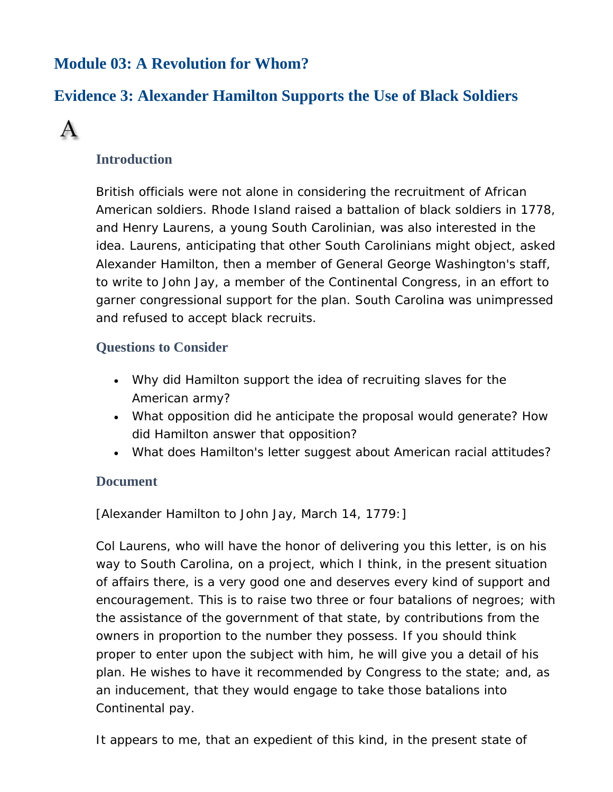## **Module 03: A Revolution for Whom?**

# **Evidence 3: Alexander Hamilton Supports the Use of Black Soldiers**



### **Introduction**

British officials were not alone in considering the recruitment of African American soldiers. Rhode Island raised a battalion of black soldiers in 1778, and Henry Laurens, a young South Carolinian, was also interested in the idea. Laurens, anticipating that other South Carolinians might object, asked Alexander Hamilton, then a member of General George Washington's staff, to write to John Jay, a member of the Continental Congress, in an effort to garner congressional support for the plan. South Carolina was unimpressed and refused to accept black recruits.

### **Questions to Consider**

- Why did Hamilton support the idea of recruiting slaves for the American army?
- What opposition did he anticipate the proposal would generate? How did Hamilton answer that opposition?
- What does Hamilton's letter suggest about American racial attitudes?

#### **Document**

[Alexander Hamilton to John Jay, March 14, 1779:]

Col Laurens, who will have the honor of delivering you this letter, is on his way to South Carolina, on a project, which I think, in the present situation of affairs there, is a very good one and deserves every kind of support and encouragement. This is to raise two three or four batalions of negroes; with the assistance of the government of that state, by contributions from the owners in proportion to the number they possess. If you should think proper to enter upon the subject with him, he will give you a detail of his plan. He wishes to have it recommended by Congress to the state; and, as an inducement, that they would engage to take those batalions into Continental pay.

It appears to me, that an expedient of this kind, in the present state of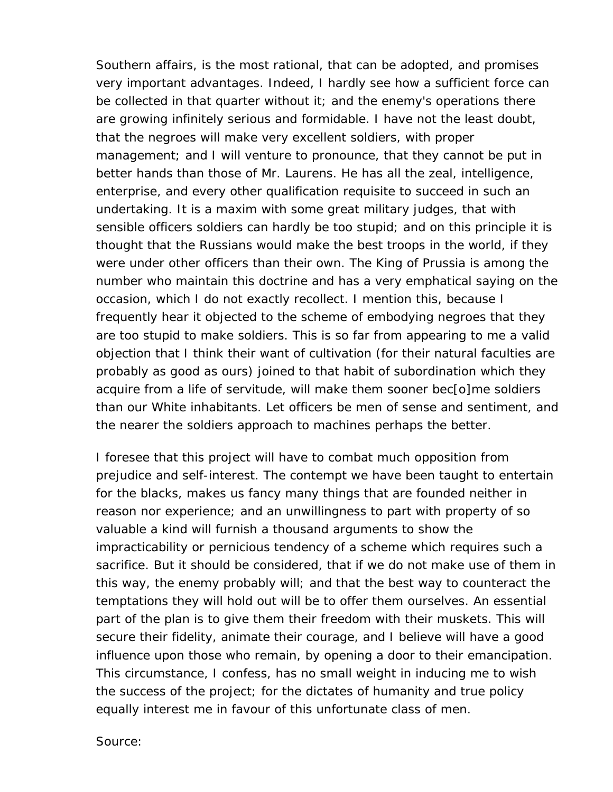Southern affairs, is the most rational, that can be adopted, and promises very important advantages. Indeed, I hardly see how a sufficient force can be collected in that quarter without it; and the enemy's operations there are growing infinitely serious and formidable. I have not the least doubt, that the negroes will make very excellent soldiers, with proper management; and I will venture to pronounce, that they cannot be put in better hands than those of Mr. Laurens. He has all the zeal, intelligence, enterprise, and every other qualification requisite to succeed in such an undertaking. It is a maxim with some great military judges, that with sensible officers soldiers can hardly be too stupid; and on this principle it is thought that the Russians would make the best troops in the world, if they were under other officers than their own. The King of Prussia is among the number who maintain this doctrine and has a very emphatical saying on the occasion, which I do not exactly recollect. I mention this, because I frequently hear it objected to the scheme of embodying negroes that they are too stupid to make soldiers. This is so far from appearing to me a valid objection that I think their want of cultivation (for their natural faculties are probably as good as ours) joined to that habit of subordination which they acquire from a life of servitude, will make them sooner bec[o]me soldiers than our White inhabitants. Let officers be men of sense and sentiment, and the nearer the soldiers approach to machines perhaps the better.

I foresee that this project will have to combat much opposition from prejudice and self-interest. The contempt we have been taught to entertain for the blacks, makes us fancy many things that are founded neither in reason nor experience; and an unwillingness to part with property of so valuable a kind will furnish a thousand arguments to show the impracticability or pernicious tendency of a scheme which requires such a sacrifice. But it should be considered, that if we do not make use of them in this way, the enemy probably will; and that the best way to counteract the temptations they will hold out will be to offer them ourselves. An essential part of the plan is to give them their freedom with their muskets. This will secure their fidelity, animate their courage, and I believe will have a good influence upon those who remain, by opening a door to their emancipation. This circumstance, I confess, has no small weight in inducing me to wish the success of the project; for the dictates of humanity and true policy equally interest me in favour of this unfortunate class of men.

Source: